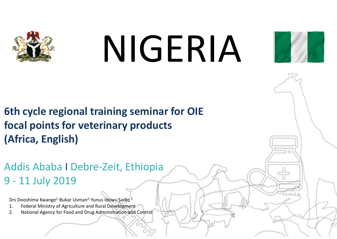

# NIGERIA



**6th cycle regional training seminar for OIE focal points for veterinary products (Africa, English)**

Addis Ababa I Debre-Zeit, Ethiopia 9 - 11 July 2019

Drs Dooshima Kwange<sup>1,</sup> Bukar Usman<sup>2,</sup> Yunus Idowu Sadiq <sup>2</sup>

- 1. Federal Ministry of Agriculture and Rural Development
- 2. National Agency for Food and Drug Administration and Control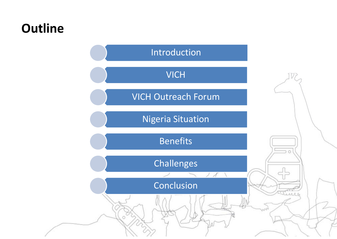### **Outline**

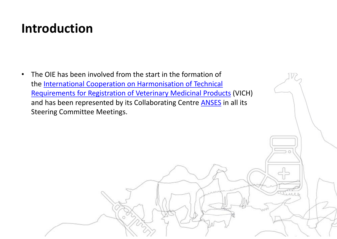### **Introduction**

 $\bullet$  The OIE has been involved from the start in the formation of the <u>International Cooperation on Harmonisation of Technical</u> Requirements for Registration of Veterinary Medicinal Products (VICH) and has been represented by its Collaborating Centre **ANSES** in all its Steering Committee Meetings.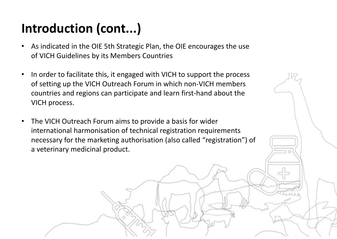# **Introduction (cont...)**

- • As indicated in the OIE 5th Strategic Plan, the OIE encourages the use of VICH Guidelines by its Members Countries
- $\bullet$  In order to facilitate this, it engaged with VICH to support the process of setting up the VICH Outreach Forum in which non-VICH members countries and regions can participate and learn first-hand about the VICH process.
- $\bullet$  The VICH Outreach Forum aims to provide a basis for wider international harmonisation of technical registration requirements necessary for the marketing authorisation (also called "registration") of a veterinary medicinal product.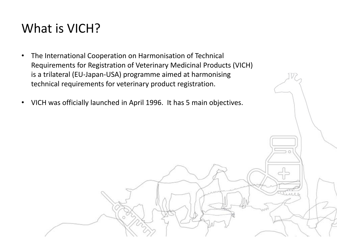## What is VICH?

- $\bullet$  The International Cooperation on Harmonisation of Technical Requirements for Registration of Veterinary Medicinal Products (VICH) is a trilateral (EU-Japan-USA) programme aimed at harmonising technical requirements for veterinary product registration.
- $\bullet$ VICH was officially launched in April 1996. It has 5 main objectives.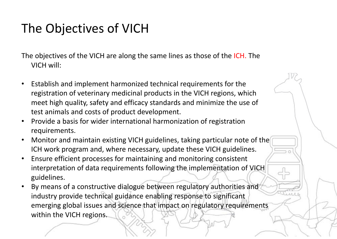# The Objectives of VICH

The objectives of the VICH are along the same lines as those of the ICH. The VICH will:

- • Establish and implement harmonized technical requirements for the registration of veterinary medicinal products in the VICH regions, which meet high quality, safety and efficacy standards and minimize the use of test animals and costs of product development.
- • Provide a basis for wider international harmonization of registration requirements.
- $\bullet$  Monitor and maintain existing VICH guidelines, taking particular note of the ICH work program and, where necessary, update these VICH guidelines.
- $\bullet$  Ensure efficient processes for maintaining and monitoring consistent interpretation of data requirements following the implementation of VICH guidelines.
- • By means of a constructive dialogue between regulatory authorities and industry provide technical guidance enabling response to significant emerging global issues and science that impact on regulatory requirements within the VICH regions.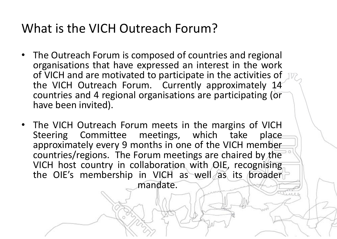## What is the VICH Outreach Forum?

- The Outreach Forum is composed of countries and regional organisations that have expressed an interest in the work of VICH and are motivated to participate in the activities of the VICH Outreach Forum. Currently approximately 14 countries and 4 regional organisations are participating (or have been invited).
- The VICH Outreach Forum meets in the margins of VICH Steering Committee meetings, which take place approximately every 9 months in one of the VICH member countries/regions. The Forum meetings are chaired by the VICH host country in collaboration with OIE, recognising the OIE's membership in VICH as well as its broader mandate.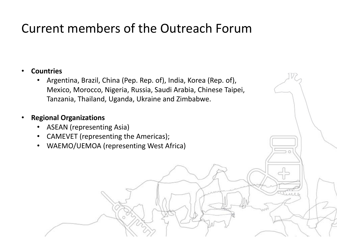## Current members of the Outreach Forum

#### •**Countries**

• Argentina, Brazil, China (Pep. Rep. of), India, Korea (Rep. of), Mexico, Morocco, Nigeria, Russia, Saudi Arabia, Chinese Taipei, Tanzania, Thailand, Uganda, Ukraine and Zimbabwe.

#### •**Regional Organizations**

- $\bullet$ ASEAN (representing Asia)
- •CAMEVET (representing the Americas);
- $\bullet$ WAEMO/UEMOA (representing West Africa)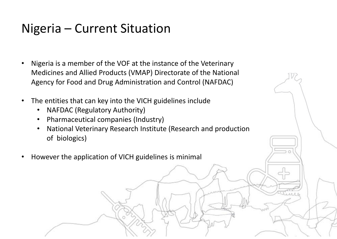### Nigeria – Current Situation

- $\bullet$  Nigeria is a member of the VOF at the instance of the Veterinary Medicines and Allied Products (VMAP) Directorate of the National Agency for Food and Drug Administration and Control (NAFDAC)
- $\bullet$  The entities that can key into the VICH guidelines include
	- •NAFDAC (Regulatory Authority)
	- •Pharmaceutical companies (Industry)
	- • National Veterinary Research Institute (Research and production of biologics)
- •However the application of VICH guidelines is minimal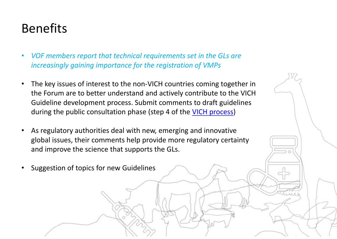# Benefits

- • *VOF members report that technical requirements set in the GLs are increasingly gaining importance for the registration of VMPs*
- • The key issues of interest to the non-VICH countries coming together in the Forum are to better understand and actively contribute to the VICH Guideline development process. Submit comments to draft guidelines during the public consultation phase (step 4 of the VICH process)
- • As regulatory authorities deal with new, emerging and innovative global issues, their comments help provide more regulatory certainty and improve the science that supports the GLs.
- •Suggestion of topics for new Guidelines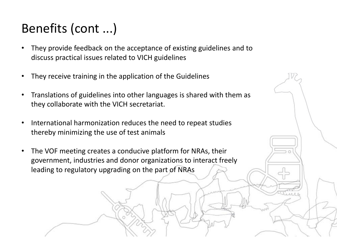# Benefits (cont ...)

- • They provide feedback on the acceptance of existing guidelines and to discuss practical issues related to VICH guidelines
- $\bullet$ They receive training in the application of the Guidelines
- • Translations of guidelines into other languages is shared with them as they collaborate with the VICH secretariat.
- • International harmonization reduces the need to repeat studies thereby minimizing the use of test animals
- $\bullet$  The VOF meeting creates a conducive platform for NRAs, their government, industries and donor organizations to interact freely leading to regulatory upgrading on the part of NRAs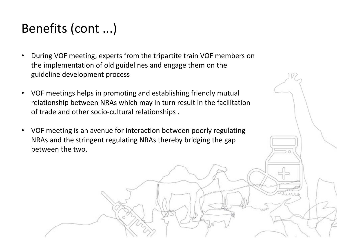# Benefits (cont ...)

- • During VOF meeting, experts from the tripartite train VOF members on the implementation of old guidelines and engage them on the guideline development process
- VOF meetings helps in promoting and establishing friendly mutual relationship between NRAs which may in turn result in the facilitation of trade and other socio-cultural relationships .
- VOF meeting is an avenue for interaction between poorly regulating NRAs and the stringent regulating NRAs thereby bridging the gap between the two.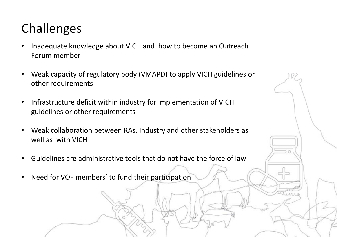# Challenges

- • Inadequate knowledge about VICH and how to become an Outreach Forum member
- $\bullet$  Weak capacity of regulatory body (VMAPD) to apply VICH guidelines or other requirements
- $\bullet$  Infrastructure deficit within industry for implementation of VICH guidelines or other requirements
- $\bullet$  Weak collaboration between RAs, Industry and other stakeholders as well as with VICH
- •Guidelines are administrative tools that do not have the force of law
- $\bullet$ Need for VOF members' to fund their participation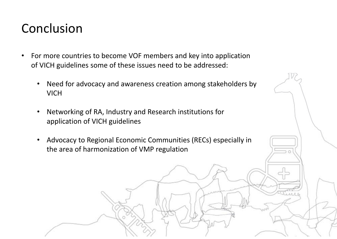### Conclusion

- $\bullet$  For more countries to become VOF members and key into application of VICH guidelines some of these issues need to be addressed:
	- $\bullet$  Need for advocacy and awareness creation among stakeholders by VICH
	- • Networking of RA, Industry and Research institutions for application of VICH guidelines
	- $\bullet$  Advocacy to Regional Economic Communities (RECs) especially in the area of harmonization of VMP regulation